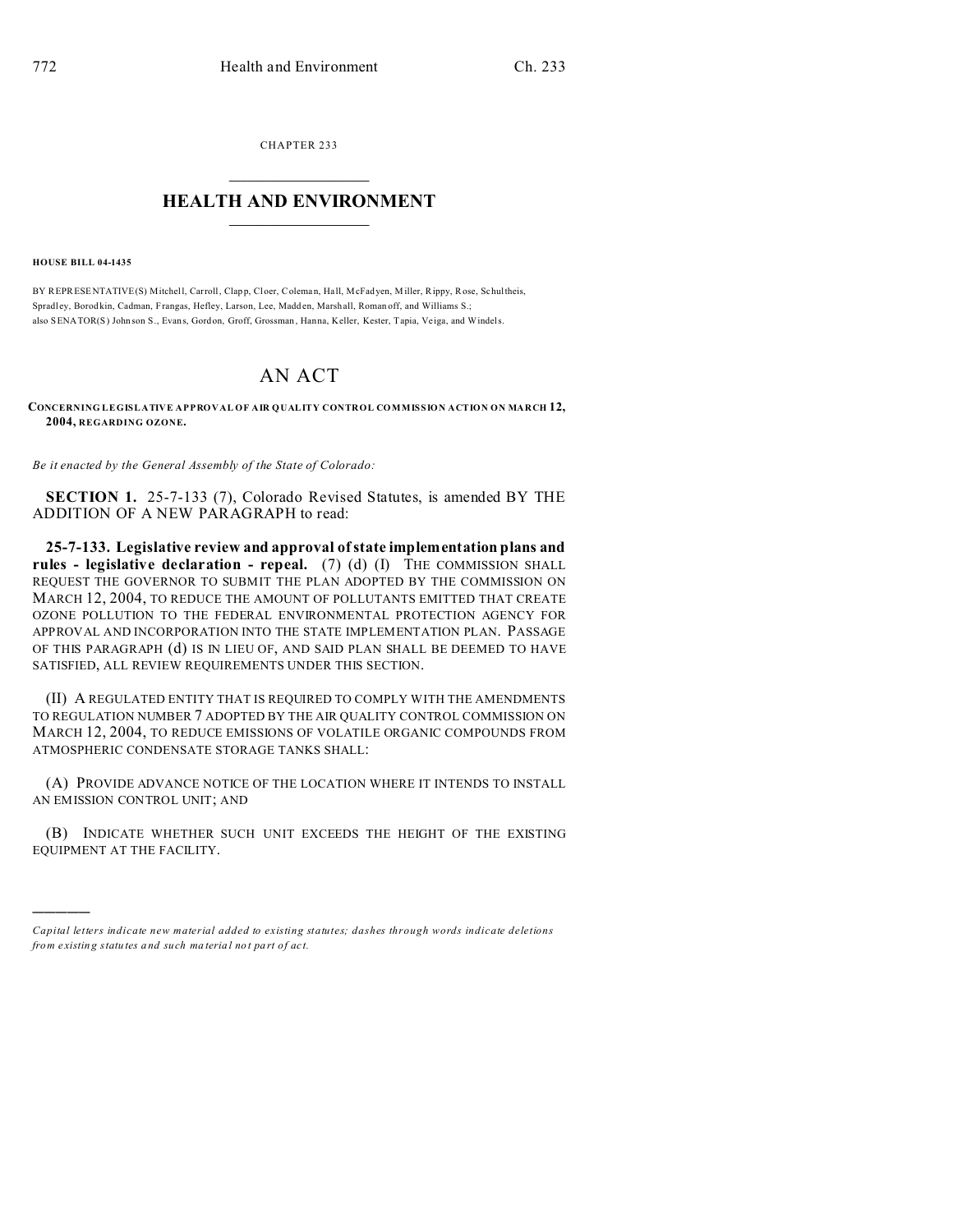CHAPTER 233  $\overline{\phantom{a}}$  , where  $\overline{\phantom{a}}$ 

## **HEALTH AND ENVIRONMENT**  $\_$   $\_$   $\_$   $\_$   $\_$   $\_$   $\_$   $\_$

**HOUSE BILL 04-1435**

)))))

BY REPRESENTATIVE(S) Mitchell, Carroll, Clap p, Cloer, Coleman, Hall, McFadyen, Miller, Rippy, Rose, Schultheis, Spradl ey, Borod kin, Cadman, Frangas, Hefley, Larson, Lee, Madd en, Marshall, Roman off, and Williams S.; also SENATOR(S) Johnson S., Evans, Gordon, Groff, Grossman, Hanna, Keller, Kester, Tapia, Veiga, and Windels.

## AN ACT

**CONCERNING LEGISLATIVE APPROVAL OF AIR QUALITY CONTROL COMMISSION ACTION ON MARCH 12, 2004, REGARDING OZONE.**

*Be it enacted by the General Assembly of the State of Colorado:*

**SECTION 1.** 25-7-133 (7), Colorado Revised Statutes, is amended BY THE ADDITION OF A NEW PARAGRAPH to read:

**25-7-133. Legislative review and approval of state implementation plans and rules - legislative declaration - repeal.** (7) (d) (I) THE COMMISSION SHALL REQUEST THE GOVERNOR TO SUBMIT THE PLAN ADOPTED BY THE COMMISSION ON MARCH 12, 2004, TO REDUCE THE AMOUNT OF POLLUTANTS EMITTED THAT CREATE OZONE POLLUTION TO THE FEDERAL ENVIRONMENTAL PROTECTION AGENCY FOR APPROVAL AND INCORPORATION INTO THE STATE IMPLEMENTATION PLAN. PASSAGE OF THIS PARAGRAPH (d) IS IN LIEU OF, AND SAID PLAN SHALL BE DEEMED TO HAVE SATISFIED, ALL REVIEW REQUIREMENTS UNDER THIS SECTION.

(II) A REGULATED ENTITY THAT IS REQUIRED TO COMPLY WITH THE AMENDMENTS TO REGULATION NUMBER 7 ADOPTED BY THE AIR QUALITY CONTROL COMMISSION ON MARCH 12, 2004, TO REDUCE EMISSIONS OF VOLATILE ORGANIC COMPOUNDS FROM ATMOSPHERIC CONDENSATE STORAGE TANKS SHALL:

(A) PROVIDE ADVANCE NOTICE OF THE LOCATION WHERE IT INTENDS TO INSTALL AN EMISSION CONTROL UNIT; AND

(B) INDICATE WHETHER SUCH UNIT EXCEEDS THE HEIGHT OF THE EXISTING EQUIPMENT AT THE FACILITY.

*Capital letters indicate new material added to existing statutes; dashes through words indicate deletions from e xistin g statu tes a nd such ma teria l no t pa rt of ac t.*